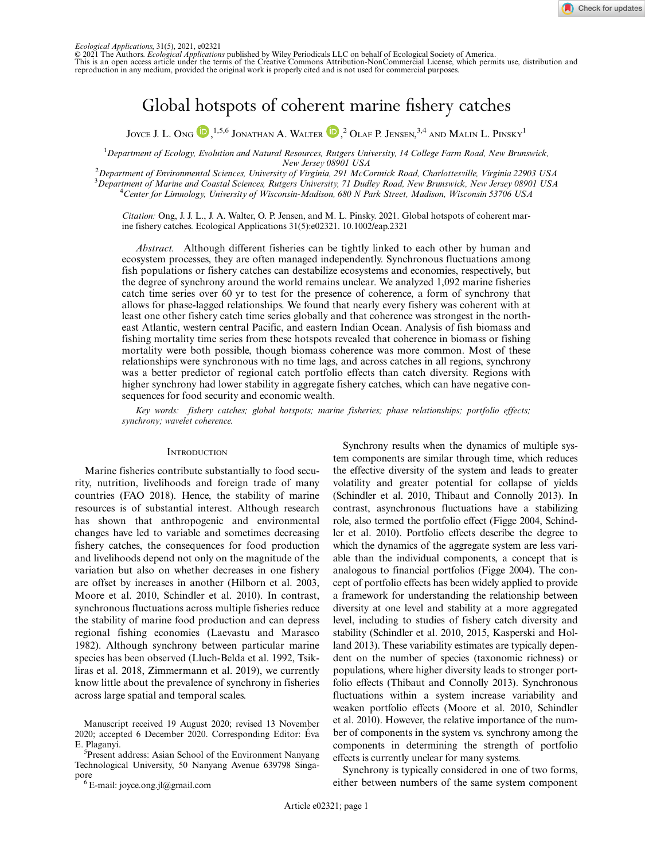© 2021 The Authors. *Ecological Applications* published by Wiley Periodicals LLC on behalf of Ecological Society of America. This is an open access article under the terms of the [Creative Commons Attribution-NonCommercial](http://creativecommons.org/licenses/by-nc/4.0/) License, which permits use, distribution and reproduction in any medium, provided the original work is properly cited and is not used for commercial purposes.

# Global hotspots of coherent marine fishery catches

JOYCE J. L. Ong  $\bigcirc$  ,<sup>1,5,6</sup> Jonathan A. Walter  $\bigcirc$  ,<sup>2</sup> Olaf P. Jensen,<sup>3,4</sup> and Malin L. Pinsky<sup>1</sup>

<sup>1</sup> Department of Ecology, Evolution and Natural Resources, Rutgers University, 14 College Farm Road, New Brunswick, New Jersey 08901 USA<br>2 Department of Environmental Sciences, University of Virginia, 291 McCormick Road, Charlottesville, Virginia 22903 USA

<sup>3</sup>Department of Marine and Coastal Sciences, Rutgers University, 71 Dudley Road, New Brunswick, New Jersey 08901 USA<br><sup>4</sup>Center for Linnalegy, University of Wisegnsin Madison, 680 N Park Street, Madison, Wisegnsin 53706 U <sup>4</sup>Center for Limnology, University of Wisconsin-Madison, 680 N Park Street, Madison, Wisconsin 53706 USA

Citation: Ong, J. J. L., J. A. Walter, O. P. Jensen, and M. L. Pinsky. 2021. Global hotspots of coherent marine fishery catches. Ecological Applications 31(5):e02321. [10.1002/eap.2321](info:doi/10.1002/eap.2321)

Abstract. Although different fisheries can be tightly linked to each other by human and ecosystem processes, they are often managed independently. Synchronous fluctuations among fish populations or fishery catches can destabilize ecosystems and economies, respectively, but the degree of synchrony around the world remains unclear. We analyzed 1,092 marine fisheries catch time series over 60 yr to test for the presence of coherence, a form of synchrony that allows for phase-lagged relationships. We found that nearly every fishery was coherent with at least one other fishery catch time series globally and that coherence was strongest in the northeast Atlantic, western central Pacific, and eastern Indian Ocean. Analysis of fish biomass and fishing mortality time series from these hotspots revealed that coherence in biomass or fishing mortality were both possible, though biomass coherence was more common. Most of these relationships were synchronous with no time lags, and across catches in all regions, synchrony was a better predictor of regional catch portfolio effects than catch diversity. Regions with higher synchrony had lower stability in aggregate fishery catches, which can have negative consequences for food security and economic wealth.

Key words: fishery catches; global hotspots; marine fisheries; phase relationships; portfolio effects; synchrony; wavelet coherence.

#### **INTRODUCTION**

Marine fisheries contribute substantially to food security, nutrition, livelihoods and foreign trade of many countries (FAO 2018). Hence, the stability of marine resources is of substantial interest. Although research has shown that anthropogenic and environmental changes have led to variable and sometimes decreasing fishery catches, the consequences for food production and livelihoods depend not only on the magnitude of the variation but also on whether decreases in one fishery are offset by increases in another (Hilborn et al. 2003, Moore et al. 2010, Schindler et al. 2010). In contrast, synchronous fluctuations across multiple fisheries reduce the stability of marine food production and can depress regional fishing economies (Laevastu and Marasco 1982). Although synchrony between particular marine species has been observed (Lluch-Belda et al. 1992, Tsikliras et al. 2018, Zimmermann et al. 2019), we currently know little about the prevalence of synchrony in fisheries across large spatial and temporal scales.

Synchrony results when the dynamics of multiple system components are similar through time, which reduces the effective diversity of the system and leads to greater volatility and greater potential for collapse of yields (Schindler et al. 2010, Thibaut and Connolly 2013). In contrast, asynchronous fluctuations have a stabilizing role, also termed the portfolio effect (Figge 2004, Schindler et al. 2010). Portfolio effects describe the degree to which the dynamics of the aggregate system are less variable than the individual components, a concept that is analogous to financial portfolios (Figge 2004). The concept of portfolio effects has been widely applied to provide a framework for understanding the relationship between diversity at one level and stability at a more aggregated level, including to studies of fishery catch diversity and stability (Schindler et al. 2010, 2015, Kasperski and Holland 2013). These variability estimates are typically dependent on the number of species (taxonomic richness) or populations, where higher diversity leads to stronger portfolio effects (Thibaut and Connolly 2013). Synchronous fluctuations within a system increase variability and weaken portfolio effects (Moore et al. 2010, Schindler et al. 2010). However, the relative importance of the number of components in the system vs. synchrony among the components in determining the strength of portfolio effects is currently unclear for many systems.

Synchrony is typically considered in one of two forms, either between numbers of the same system component

Manuscript received 19 August 2020; revised 13 November 2020; accepted 6 December 2020. Corresponding Editor: Eva ´ E. Plaganyi.

<sup>&</sup>lt;sup>5</sup>Present address: Asian School of the Environment Nanyang Technological University, 50 Nanyang Avenue 639798 Singapore<br><sup>6</sup> E-mail: [joyce.ong.jl@gmail.com](mailto:)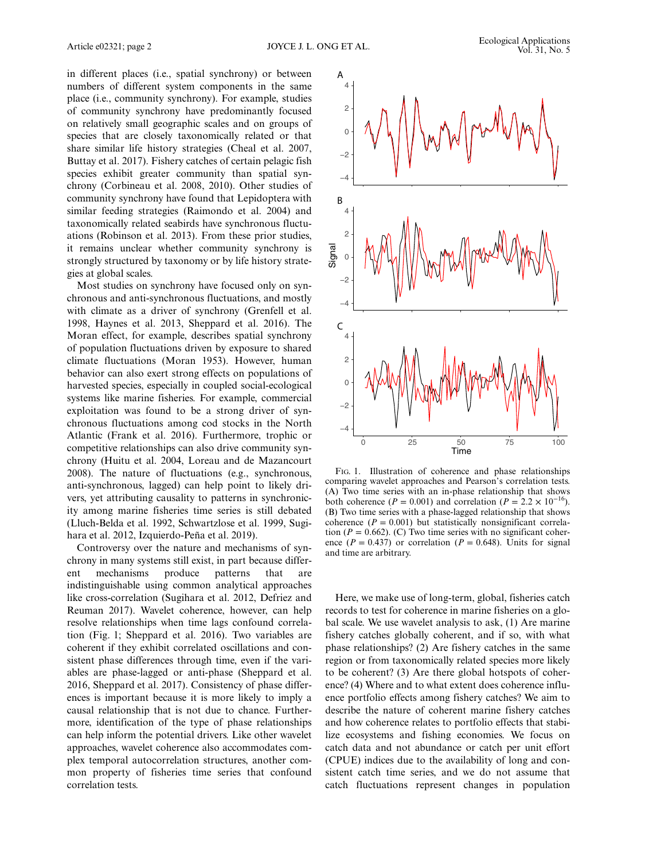in different places (i.e., spatial synchrony) or between numbers of different system components in the same place (i.e., community synchrony). For example, studies of community synchrony have predominantly focused on relatively small geographic scales and on groups of species that are closely taxonomically related or that share similar life history strategies (Cheal et al. 2007, Buttay et al. 2017). Fishery catches of certain pelagic fish species exhibit greater community than spatial synchrony (Corbineau et al. 2008, 2010). Other studies of community synchrony have found that Lepidoptera with similar feeding strategies (Raimondo et al. 2004) and taxonomically related seabirds have synchronous fluctuations (Robinson et al. 2013). From these prior studies, it remains unclear whether community synchrony is strongly structured by taxonomy or by life history strategies at global scales.

Most studies on synchrony have focused only on synchronous and anti-synchronous fluctuations, and mostly with climate as a driver of synchrony (Grenfell et al. 1998, Haynes et al. 2013, Sheppard et al. 2016). The Moran effect, for example, describes spatial synchrony of population fluctuations driven by exposure to shared climate fluctuations (Moran 1953). However, human behavior can also exert strong effects on populations of harvested species, especially in coupled social-ecological systems like marine fisheries. For example, commercial exploitation was found to be a strong driver of synchronous fluctuations among cod stocks in the North Atlantic (Frank et al. 2016). Furthermore, trophic or competitive relationships can also drive community synchrony (Huitu et al. 2004, Loreau and de Mazancourt 2008). The nature of fluctuations (e.g., synchronous, anti-synchronous, lagged) can help point to likely drivers, yet attributing causality to patterns in synchronicity among marine fisheries time series is still debated (Lluch-Belda et al. 1992, Schwartzlose et al. 1999, Sugihara et al. 2012, Izquierdo-Peña et al. 2019).

Controversy over the nature and mechanisms of synchrony in many systems still exist, in part because different mechanisms produce patterns that are indistinguishable using common analytical approaches like cross-correlation (Sugihara et al. 2012, Defriez and Reuman 2017). Wavelet coherence, however, can help resolve relationships when time lags confound correlation (Fig. 1; Sheppard et al. 2016). Two variables are coherent if they exhibit correlated oscillations and consistent phase differences through time, even if the variables are phase-lagged or anti-phase (Sheppard et al. 2016, Sheppard et al. 2017). Consistency of phase differences is important because it is more likely to imply a causal relationship that is not due to chance. Furthermore, identification of the type of phase relationships can help inform the potential drivers. Like other wavelet approaches, wavelet coherence also accommodates complex temporal autocorrelation structures, another common property of fisheries time series that confound correlation tests.

comparing wavelet approaches and Pearson's correlation tests. (A) Two time series with an in-phase relationship that shows both coherence ( $P = 0.001$ ) and correlation ( $P = 2.2 \times 10^{-16}$ ). (B) Two time series with a phase-lagged relationship that shows coherence  $(P = 0.001)$  but statistically nonsignificant correlation ( $P = 0.662$ ). (C) Two time series with no significant coherence ( $P = 0.437$ ) or correlation ( $P = 0.648$ ). Units for signal and time are arbitrary.

Here, we make use of long-term, global, fisheries catch records to test for coherence in marine fisheries on a global scale. We use wavelet analysis to ask, (1) Are marine fishery catches globally coherent, and if so, with what phase relationships? (2) Are fishery catches in the same region or from taxonomically related species more likely to be coherent? (3) Are there global hotspots of coherence? (4) Where and to what extent does coherence influence portfolio effects among fishery catches? We aim to describe the nature of coherent marine fishery catches and how coherence relates to portfolio effects that stabilize ecosystems and fishing economies. We focus on catch data and not abundance or catch per unit effort (CPUE) indices due to the availability of long and consistent catch time series, and we do not assume that catch fluctuations represent changes in population



2

4

A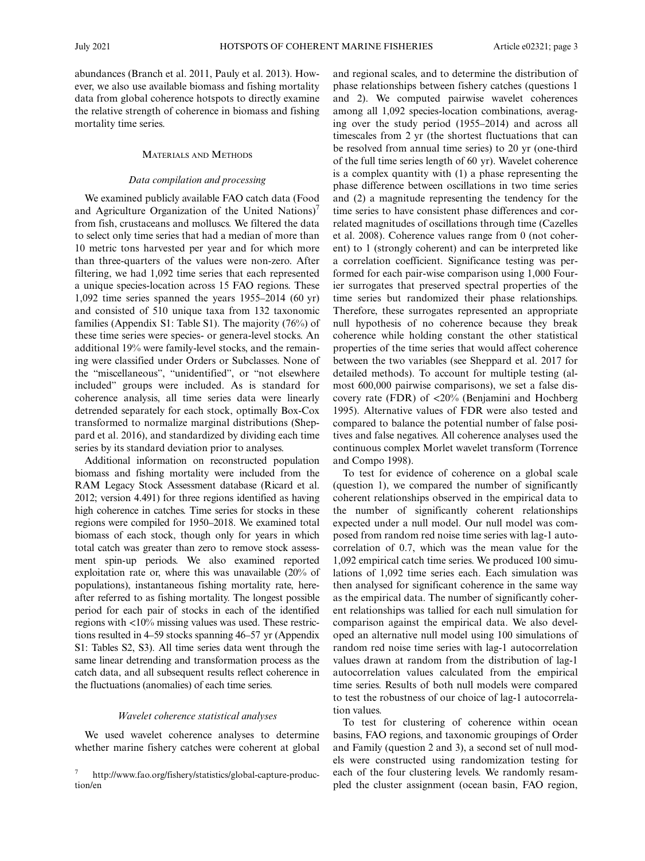abundances (Branch et al. 2011, Pauly et al. 2013). However, we also use available biomass and fishing mortality data from global coherence hotspots to directly examine the relative strength of coherence in biomass and fishing mortality time series.

## MATERIALS AND METHODS

## Data compilation and processing

We examined publicly available FAO catch data (Food and Agriculture Organization of the United Nations)<sup>7</sup> from fish, crustaceans and molluscs. We filtered the data to select only time series that had a median of more than 10 metric tons harvested per year and for which more than three-quarters of the values were non-zero. After filtering, we had 1,092 time series that each represented a unique species-location across 15 FAO regions. These 1,092 time series spanned the years 1955–2014 (60 yr) and consisted of 510 unique taxa from 132 taxonomic families (Appendix S1: Table S1). The majority (76%) of these time series were species- or genera-level stocks. An additional 19% were family-level stocks, and the remaining were classified under Orders or Subclasses. None of the "miscellaneous", "unidentified", or "not elsewhere included" groups were included. As is standard for coherence analysis, all time series data were linearly detrended separately for each stock, optimally Box-Cox transformed to normalize marginal distributions (Sheppard et al. 2016), and standardized by dividing each time series by its standard deviation prior to analyses.

Additional information on reconstructed population biomass and fishing mortality were included from the RAM Legacy Stock Assessment database (Ricard et al. 2012; version 4.491) for three regions identified as having high coherence in catches. Time series for stocks in these regions were compiled for 1950–2018. We examined total biomass of each stock, though only for years in which total catch was greater than zero to remove stock assessment spin-up periods. We also examined reported exploitation rate or, where this was unavailable (20% of populations), instantaneous fishing mortality rate, hereafter referred to as fishing mortality. The longest possible period for each pair of stocks in each of the identified regions with <10% missing values was used. These restrictions resulted in 4–59 stocks spanning 46–57 yr (Appendix S1: Tables S2, S3). All time series data went through the same linear detrending and transformation process as the catch data, and all subsequent results reflect coherence in the fluctuations (anomalies) of each time series.

#### Wavelet coherence statistical analyses

We used wavelet coherence analyses to determine whether marine fishery catches were coherent at global and regional scales, and to determine the distribution of phase relationships between fishery catches (questions 1 and 2). We computed pairwise wavelet coherences among all 1,092 species-location combinations, averaging over the study period (1955–2014) and across all timescales from 2 yr (the shortest fluctuations that can be resolved from annual time series) to 20 yr (one-third of the full time series length of 60 yr). Wavelet coherence is a complex quantity with (1) a phase representing the phase difference between oscillations in two time series and (2) a magnitude representing the tendency for the time series to have consistent phase differences and correlated magnitudes of oscillations through time (Cazelles et al. 2008). Coherence values range from 0 (not coherent) to 1 (strongly coherent) and can be interpreted like a correlation coefficient. Significance testing was performed for each pair-wise comparison using 1,000 Fourier surrogates that preserved spectral properties of the time series but randomized their phase relationships. Therefore, these surrogates represented an appropriate null hypothesis of no coherence because they break coherence while holding constant the other statistical properties of the time series that would affect coherence between the two variables (see Sheppard et al. 2017 for detailed methods). To account for multiple testing (almost 600,000 pairwise comparisons), we set a false discovery rate (FDR) of <20% (Benjamini and Hochberg 1995). Alternative values of FDR were also tested and compared to balance the potential number of false positives and false negatives. All coherence analyses used the continuous complex Morlet wavelet transform (Torrence and Compo 1998).

To test for evidence of coherence on a global scale (question 1), we compared the number of significantly coherent relationships observed in the empirical data to the number of significantly coherent relationships expected under a null model. Our null model was composed from random red noise time series with lag-1 autocorrelation of 0.7, which was the mean value for the 1,092 empirical catch time series. We produced 100 simulations of 1,092 time series each. Each simulation was then analysed for significant coherence in the same way as the empirical data. The number of significantly coherent relationships was tallied for each null simulation for comparison against the empirical data. We also developed an alternative null model using 100 simulations of random red noise time series with lag-1 autocorrelation values drawn at random from the distribution of lag-1 autocorrelation values calculated from the empirical time series. Results of both null models were compared to test the robustness of our choice of lag-1 autocorrelation values.

To test for clustering of coherence within ocean basins, FAO regions, and taxonomic groupings of Order and Family (question 2 and 3), a second set of null models were constructed using randomization testing for each of the four clustering levels. We randomly resampled the cluster assignment (ocean basin, FAO region,

<sup>7</sup> http://www.fao.org/fishery/statistics/global-capture-production/en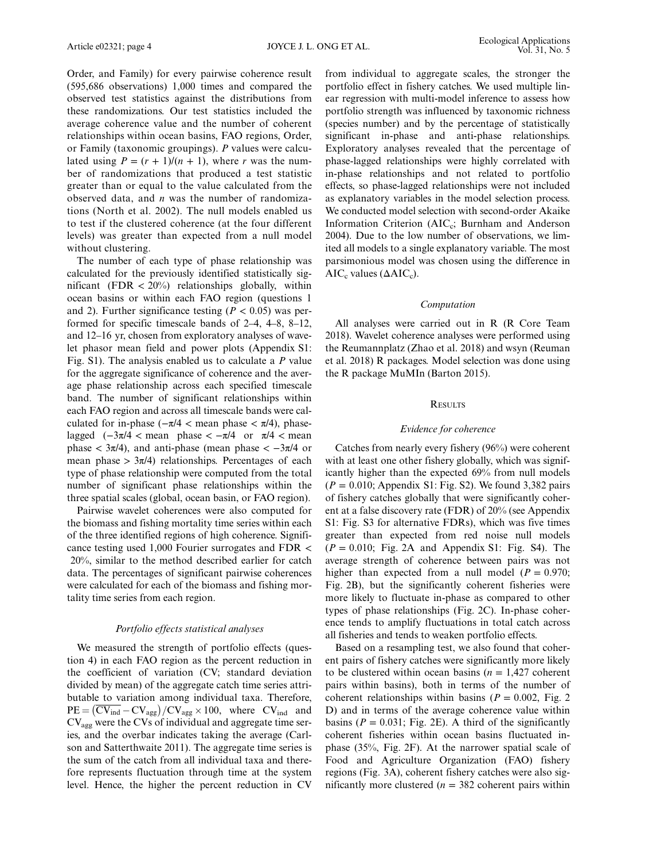Order, and Family) for every pairwise coherence result (595,686 observations) 1,000 times and compared the observed test statistics against the distributions from these randomizations. Our test statistics included the average coherence value and the number of coherent relationships within ocean basins, FAO regions, Order, or Family (taxonomic groupings). P values were calculated using  $P = (r + 1)/(n + 1)$ , where r was the number of randomizations that produced a test statistic greater than or equal to the value calculated from the observed data, and  $n$  was the number of randomizations (North et al. 2002). The null models enabled us to test if the clustered coherence (at the four different levels) was greater than expected from a null model without clustering.

The number of each type of phase relationship was calculated for the previously identified statistically significant (FDR  $<$  20%) relationships globally, within ocean basins or within each FAO region (questions 1 and 2). Further significance testing ( $P < 0.05$ ) was performed for specific timescale bands of 2–4, 4–8, 8–12, and 12–16 yr, chosen from exploratory analyses of wavelet phasor mean field and power plots (Appendix S1: Fig. S1). The analysis enabled us to calculate a P value for the aggregate significance of coherence and the average phase relationship across each specified timescale band. The number of significant relationships within each FAO region and across all timescale bands were calculated for in-phase ( $-\pi/4$  < mean phase <  $\pi/4$ ), phaselagged  $(-3\pi/4 < \text{mean phase} < -\pi/4 \text{ or } \pi/4 < \text{mean}$ phase  $\langle 3\pi/4$ , and anti-phase (mean phase  $\langle -3\pi/4 \rangle$  or mean phase  $> 3\pi/4$ ) relationships. Percentages of each type of phase relationship were computed from the total number of significant phase relationships within the three spatial scales (global, ocean basin, or FAO region).

Pairwise wavelet coherences were also computed for the biomass and fishing mortality time series within each of the three identified regions of high coherence. Significance testing used 1,000 Fourier surrogates and FDR < 20%, similar to the method described earlier for catch data. The percentages of significant pairwise coherences were calculated for each of the biomass and fishing mortality time series from each region.

# Portfolio effects statistical analyses

We measured the strength of portfolio effects (question 4) in each FAO region as the percent reduction in the coefficient of variation (CV; standard deviation divided by mean) of the aggregate catch time series attributable to variation among individual taxa. Therefore,  $PE = (\overline{CV}_{ind} - CV_{agg}) / CV_{agg} \times 100$ , where  $CV_{ind}$  and  $CV<sub>agg</sub>$  were the CVs of individual and aggregate time series, and the overbar indicates taking the average (Carlson and Satterthwaite 2011). The aggregate time series is the sum of the catch from all individual taxa and therefore represents fluctuation through time at the system level. Hence, the higher the percent reduction in CV from individual to aggregate scales, the stronger the portfolio effect in fishery catches. We used multiple linear regression with multi-model inference to assess how portfolio strength was influenced by taxonomic richness (species number) and by the percentage of statistically significant in-phase and anti-phase relationships. Exploratory analyses revealed that the percentage of phase-lagged relationships were highly correlated with in-phase relationships and not related to portfolio effects, so phase-lagged relationships were not included as explanatory variables in the model selection process. We conducted model selection with second-order Akaike Information Criterion (AIC<sub>c</sub>; Burnham and Anderson 2004). Due to the low number of observations, we limited all models to a single explanatory variable. The most parsimonious model was chosen using the difference in  $AIC_c$  values ( $\Delta AIC_c$ ).

## Computation

All analyses were carried out in R (R Core Team 2018). Wavelet coherence analyses were performed using the Reumannplatz (Zhao et al. 2018) and wsyn (Reuman et al. 2018) R packages. Model selection was done using the R package MuMIn (Barton 2015).

## **RESULTS**

#### Evidence for coherence

Catches from nearly every fishery (96%) were coherent with at least one other fishery globally, which was significantly higher than the expected 69% from null models  $(P = 0.010;$  Appendix S1: Fig. S2). We found 3,382 pairs of fishery catches globally that were significantly coherent at a false discovery rate (FDR) of 20% (see Appendix S1: Fig. S3 for alternative FDRs), which was five times greater than expected from red noise null models  $(P = 0.010$ ; Fig. 2A and Appendix S1: Fig. S4). The average strength of coherence between pairs was not higher than expected from a null model ( $P = 0.970$ ; Fig. 2B), but the significantly coherent fisheries were more likely to fluctuate in-phase as compared to other types of phase relationships (Fig. 2C). In-phase coherence tends to amplify fluctuations in total catch across all fisheries and tends to weaken portfolio effects.

Based on a resampling test, we also found that coherent pairs of fishery catches were significantly more likely to be clustered within ocean basins  $(n = 1,427)$  coherent pairs within basins), both in terms of the number of coherent relationships within basins ( $P = 0.002$ , Fig. 2 D) and in terms of the average coherence value within basins ( $P = 0.031$ ; Fig. 2E). A third of the significantly coherent fisheries within ocean basins fluctuated inphase (35%, Fig. 2F). At the narrower spatial scale of Food and Agriculture Organization (FAO) fishery regions (Fig. 3A), coherent fishery catches were also significantly more clustered ( $n = 382$  coherent pairs within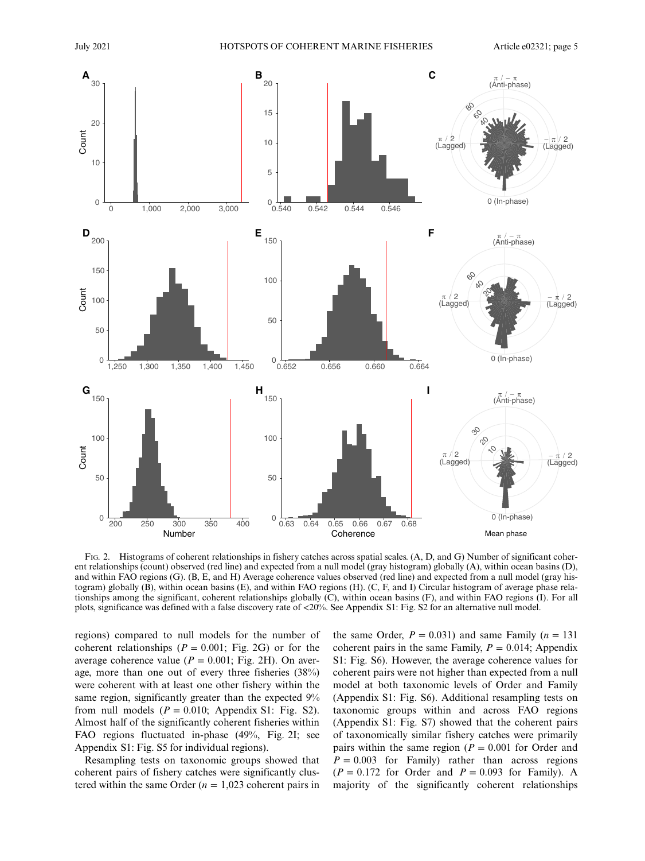

FIG. 2. Histograms of coherent relationships in fishery catches across spatial scales. (A, D, and G) Number of significant coherent relationships (count) observed (red line) and expected from a null model (gray histogram) globally (A), within ocean basins (D), and within FAO regions (G). (B, E, and H) Average coherence values observed (red line) and expected from a null model (gray histogram) globally (B), within ocean basins (E), and within FAO regions (H). (C, F, and I) Circular histogram of average phase relationships among the significant, coherent relationships globally (C), within ocean basins (F), and within FAO regions (I). For all plots, significance was defined with a false discovery rate of <20%. See Appendix S1: Fig. S2 for an alternative null model.

regions) compared to null models for the number of coherent relationships ( $P = 0.001$ ; Fig. 2G) or for the average coherence value ( $P = 0.001$ ; Fig. 2H). On average, more than one out of every three fisheries (38%) were coherent with at least one other fishery within the same region, significantly greater than the expected 9% from null models  $(P = 0.010)$ ; Appendix S1: Fig. S2). Almost half of the significantly coherent fisheries within FAO regions fluctuated in-phase (49%, Fig. 2I; see Appendix S1: Fig. S5 for individual regions).

Resampling tests on taxonomic groups showed that coherent pairs of fishery catches were significantly clustered within the same Order ( $n = 1,023$  coherent pairs in the same Order,  $P = 0.031$ ) and same Family ( $n = 131$ ) coherent pairs in the same Family,  $P = 0.014$ ; Appendix S1: Fig. S6). However, the average coherence values for coherent pairs were not higher than expected from a null model at both taxonomic levels of Order and Family (Appendix S1: Fig. S6). Additional resampling tests on taxonomic groups within and across FAO regions (Appendix S1: Fig. S7) showed that the coherent pairs of taxonomically similar fishery catches were primarily pairs within the same region ( $P = 0.001$  for Order and  $P = 0.003$  for Family) rather than across regions  $(P = 0.172$  for Order and  $P = 0.093$  for Family). A majority of the significantly coherent relationships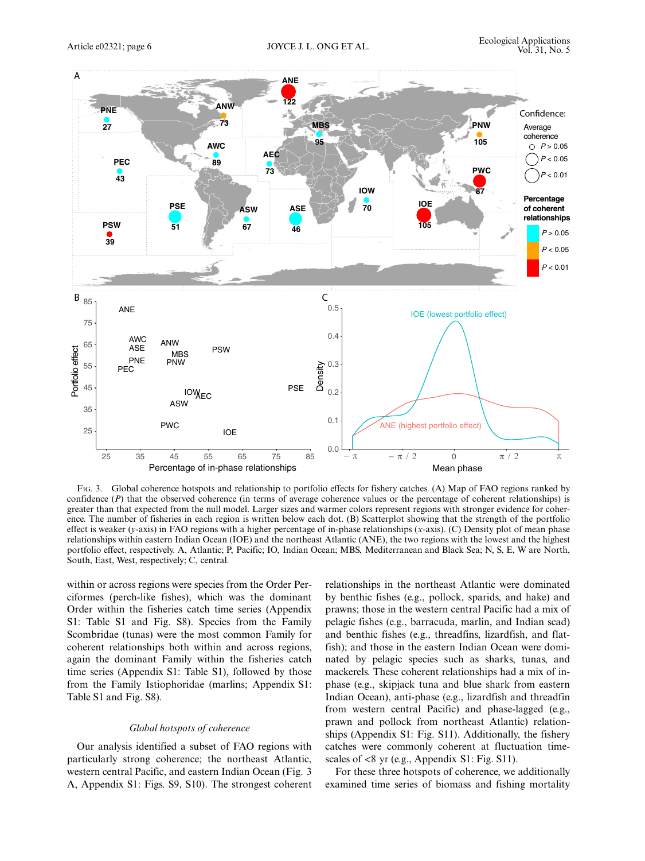

FIG. 3. Global coherence hotspots and relationship to portfolio effects for fishery catches. (A) Map of FAO regions ranked by confidence  $(P)$  that the observed coherence (in terms of average coherence values or the percentage of coherent relationships) is greater than that expected from the null model. Larger sizes and warmer colors represent regions with stronger evidence for coherence. The number of fisheries in each region is written below each dot. (B) Scatterplot showing that the strength of the portfolio effect is weaker (y-axis) in FAO regions with a higher percentage of in-phase relationships  $(x-axis)$ . (C) Density plot of mean phase relationships within eastern Indian Ocean (IOE) and the northeast Atlantic (ANE), the two regions with the lowest and the highest portfolio effect, respectively. A, Atlantic; P, Pacific; IO, Indian Ocean; MBS, Mediterranean and Black Sea; N, S, E, W are North, South, East, West, respectively; C, central.

within or across regions were species from the Order Perciformes (perch-like fishes), which was the dominant Order within the fisheries catch time series (Appendix S1: Table S1 and Fig. S8). Species from the Family Scombridae (tunas) were the most common Family for coherent relationships both within and across regions, again the dominant Family within the fisheries catch time series (Appendix S1: Table S1), followed by those from the Family Istiophoridae (marlins; Appendix S1: Table S1 and Fig. S8).

## Global hotspots of coherence

Our analysis identified a subset of FAO regions with particularly strong coherence; the northeast Atlantic, western central Pacific, and eastern Indian Ocean (Fig. 3 A, Appendix S1: Figs. S9, S10). The strongest coherent relationships in the northeast Atlantic were dominated by benthic fishes (e.g., pollock, sparids, and hake) and prawns; those in the western central Pacific had a mix of pelagic fishes (e.g., barracuda, marlin, and Indian scad) and benthic fishes (e.g., threadfins, lizardfish, and flatfish); and those in the eastern Indian Ocean were dominated by pelagic species such as sharks, tunas, and mackerels. These coherent relationships had a mix of inphase (e.g., skipjack tuna and blue shark from eastern Indian Ocean), anti-phase (e.g., lizardfish and threadfin from western central Pacific) and phase-lagged (e.g., prawn and pollock from northeast Atlantic) relationships (Appendix S1: Fig. S11). Additionally, the fishery catches were commonly coherent at fluctuation timescales of <8 yr (e.g., Appendix S1: Fig. S11).

For these three hotspots of coherence, we additionally examined time series of biomass and fishing mortality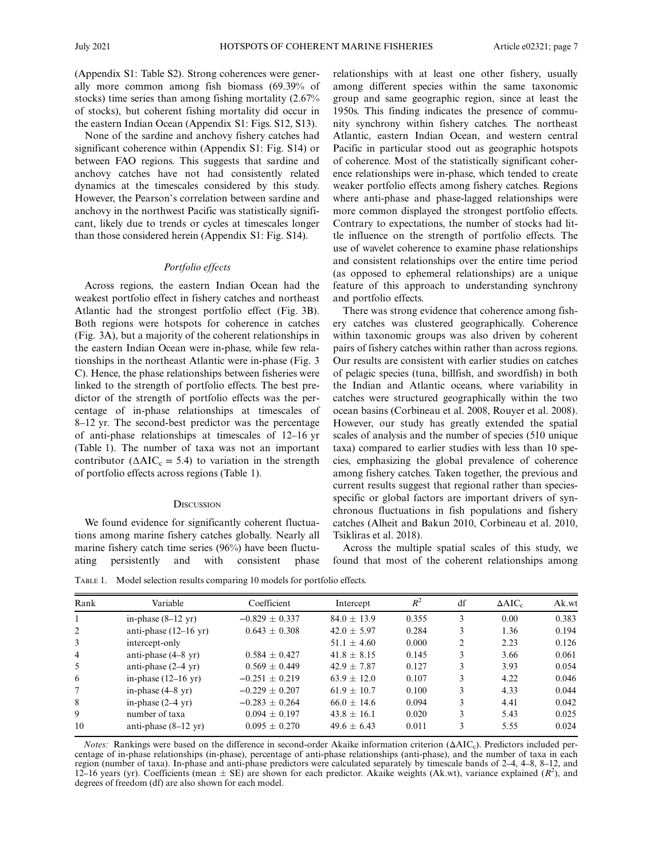(Appendix S1: Table S2). Strong coherences were generally more common among fish biomass (69.39% of stocks) time series than among fishing mortality (2.67% of stocks), but coherent fishing mortality did occur in the eastern Indian Ocean (Appendix S1: Figs. S12, S13).

None of the sardine and anchovy fishery catches had significant coherence within (Appendix S1: Fig. S14) or between FAO regions. This suggests that sardine and anchovy catches have not had consistently related dynamics at the timescales considered by this study. However, the Pearson's correlation between sardine and anchovy in the northwest Pacific was statistically significant, likely due to trends or cycles at timescales longer than those considered herein (Appendix S1: Fig. S14).

## Portfolio effects

Across regions, the eastern Indian Ocean had the weakest portfolio effect in fishery catches and northeast Atlantic had the strongest portfolio effect (Fig. 3B). Both regions were hotspots for coherence in catches (Fig. 3A), but a majority of the coherent relationships in the eastern Indian Ocean were in-phase, while few relationships in the northeast Atlantic were in-phase (Fig. 3 C). Hence, the phase relationships between fisheries were linked to the strength of portfolio effects. The best predictor of the strength of portfolio effects was the percentage of in-phase relationships at timescales of 8–12 yr. The second-best predictor was the percentage of anti-phase relationships at timescales of 12–16 yr (Table 1). The number of taxa was not an important contributor ( $\triangle AIC_c = 5.4$ ) to variation in the strength of portfolio effects across regions (Table 1).

## **DISCUSSION**

We found evidence for significantly coherent fluctuations among marine fishery catches globally. Nearly all marine fishery catch time series (96%) have been fluctuating persistently and with consistent phase relationships with at least one other fishery, usually among different species within the same taxonomic group and same geographic region, since at least the 1950s. This finding indicates the presence of community synchrony within fishery catches. The northeast Atlantic, eastern Indian Ocean, and western central Pacific in particular stood out as geographic hotspots of coherence. Most of the statistically significant coherence relationships were in-phase, which tended to create weaker portfolio effects among fishery catches. Regions where anti-phase and phase-lagged relationships were more common displayed the strongest portfolio effects. Contrary to expectations, the number of stocks had little influence on the strength of portfolio effects. The use of wavelet coherence to examine phase relationships and consistent relationships over the entire time period (as opposed to ephemeral relationships) are a unique feature of this approach to understanding synchrony and portfolio effects.

There was strong evidence that coherence among fishery catches was clustered geographically. Coherence within taxonomic groups was also driven by coherent pairs of fishery catches within rather than across regions. Our results are consistent with earlier studies on catches of pelagic species (tuna, billfish, and swordfish) in both the Indian and Atlantic oceans, where variability in catches were structured geographically within the two ocean basins (Corbineau et al. 2008, Rouyer et al. 2008). However, our study has greatly extended the spatial scales of analysis and the number of species (510 unique taxa) compared to earlier studies with less than 10 species, emphasizing the global prevalence of coherence among fishery catches. Taken together, the previous and current results suggest that regional rather than speciesspecific or global factors are important drivers of synchronous fluctuations in fish populations and fishery catches (Alheit and Bakun 2010, Corbineau et al. 2010, Tsikliras et al. 2018).

Across the multiple spatial scales of this study, we found that most of the coherent relationships among

TABLE 1. Model selection results comparing 10 models for portfolio effects.

| Rank           | Variable                        | Coefficient        | Intercept       | $R^2$ | df             | $\triangle AIC_c$ | Ak.wt |
|----------------|---------------------------------|--------------------|-----------------|-------|----------------|-------------------|-------|
|                | in-phase $(8-12 \text{ yr})$    | $-0.829 \pm 0.337$ | $84.0 + 13.9$   | 0.355 | 3              | 0.00              | 0.383 |
| 2              | anti-phase $(12-16 \text{ yr})$ | $0.643 + 0.308$    | $42.0 \pm 5.97$ | 0.284 | 3              | 1.36              | 0.194 |
| 3              | intercept-only                  |                    | $51.1 \pm 4.60$ | 0.000 | $\mathfrak{D}$ | 2.23              | 0.126 |
| $\overline{4}$ | anti-phase $(4-8 \text{ yr})$   | $0.584 + 0.427$    | $41.8 + 8.15$   | 0.145 | 3              | 3.66              | 0.061 |
| -5             | anti-phase $(2-4 \text{ yr})$   | $0.569 + 0.449$    | $42.9 + 7.87$   | 0.127 | 3              | 3.93              | 0.054 |
| 6              | in-phase $(12-16 \text{ yr})$   | $-0.251 + 0.219$   | $63.9 + 12.0$   | 0.107 | 3              | 4.22              | 0.046 |
| 7              | in-phase $(4-8 \text{ yr})$     | $-0.229 \pm 0.207$ | $61.9 + 10.7$   | 0.100 | 3              | 4.33              | 0.044 |
| 8              | in-phase $(2-4 \text{ yr})$     | $-0.283 + 0.264$   | $66.0 + 14.6$   | 0.094 | 3              | 4.41              | 0.042 |
| 9              | number of taxa                  | $0.094 + 0.197$    | $43.8 + 16.1$   | 0.020 | 3              | 5.43              | 0.025 |
| 10             | anti-phase $(8-12 \text{ yr})$  | $0.095 + 0.270$    | $49.6 + 6.43$   | 0.011 | 3              | 5.55              | 0.024 |
|                |                                 |                    |                 |       |                |                   |       |

*Notes:* Rankings were based on the difference in second-order Akaike information criterion ( $ΔAIC<sub>c</sub>$ ). Predictors included percentage of in-phase relationships (in-phase), percentage of anti-phase relationships (anti-phase), and the number of taxa in each region (number of taxa). In-phase and anti-phase predictors were calculated separately by timescale bands of 2–4, 4–8, 8–12, and 12–16 years (yr). Coefficients (mean  $\pm$  SE) are shown for each predictor. Akaike weights (Ak.wt), variance explained ( $R^2$ ), and degrees of freedom (df) are also shown for each model.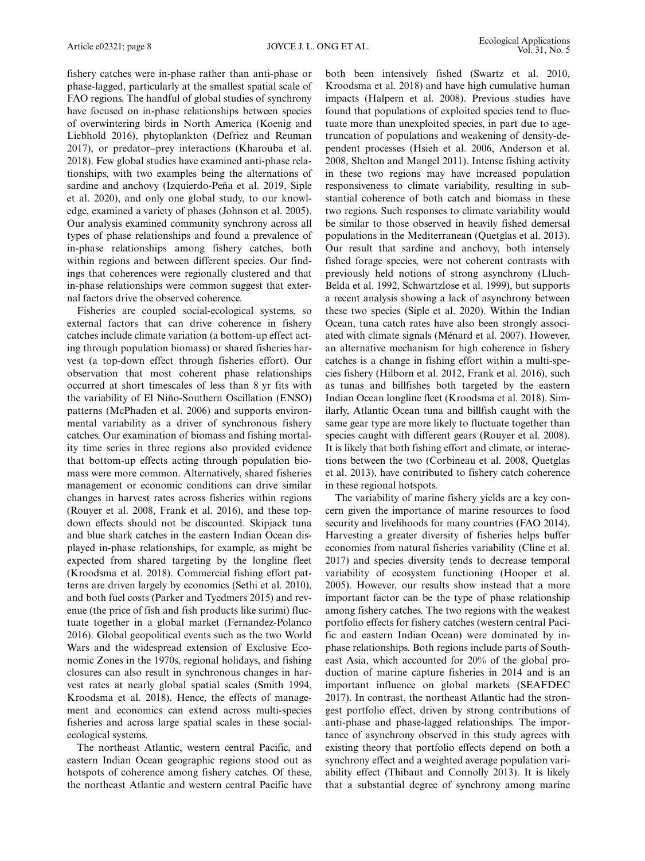fishery catches were in-phase rather than anti-phase or phase-lagged, particularly at the smallest spatial scale of FAO regions. The handful of global studies of synchrony have focused on in-phase relationships between species of overwintering birds in North America (Koenig and Liebhold 2016), phytoplankton (Defriez and Reuman 2017), or predator–prey interactions (Kharouba et al. 2018). Few global studies have examined anti-phase relationships, with two examples being the alternations of sardine and anchovy (Izquierdo-Peña et al. 2019, Siple et al. 2020), and only one global study, to our knowledge, examined a variety of phases (Johnson et al. 2005). Our analysis examined community synchrony across all types of phase relationships and found a prevalence of in-phase relationships among fishery catches, both within regions and between different species. Our findings that coherences were regionally clustered and that in-phase relationships were common suggest that external factors drive the observed coherence.

Fisheries are coupled social-ecological systems, so external factors that can drive coherence in fishery catches include climate variation (a bottom-up effect acting through population biomass) or shared fisheries harvest (a top-down effect through fisheries effort). Our observation that most coherent phase relationships occurred at short timescales of less than 8 yr fits with the variability of El Niño-Southern Oscillation (ENSO) patterns (McPhaden et al. 2006) and supports environmental variability as a driver of synchronous fishery catches. Our examination of biomass and fishing mortality time series in three regions also provided evidence that bottom-up effects acting through population biomass were more common. Alternatively, shared fisheries management or economic conditions can drive similar changes in harvest rates across fisheries within regions (Rouyer et al. 2008, Frank et al. 2016), and these topdown effects should not be discounted. Skipjack tuna and blue shark catches in the eastern Indian Ocean displayed in-phase relationships, for example, as might be expected from shared targeting by the longline fleet (Kroodsma et al. 2018). Commercial fishing effort patterns are driven largely by economics (Sethi et al. 2010), and both fuel costs (Parker and Tyedmers 2015) and revenue (the price of fish and fish products like surimi) fluctuate together in a global market (Fernandez-Polanco 2016). Global geopolitical events such as the two World Wars and the widespread extension of Exclusive Economic Zones in the 1970s, regional holidays, and fishing closures can also result in synchronous changes in harvest rates at nearly global spatial scales (Smith 1994, Kroodsma et al. 2018). Hence, the effects of management and economics can extend across multi-species fisheries and across large spatial scales in these socialecological systems.

The northeast Atlantic, western central Pacific, and eastern Indian Ocean geographic regions stood out as hotspots of coherence among fishery catches. Of these, the northeast Atlantic and western central Pacific have both been intensively fished (Swartz et al. 2010, Kroodsma et al. 2018) and have high cumulative human impacts (Halpern et al. 2008). Previous studies have found that populations of exploited species tend to fluctuate more than unexploited species, in part due to agetruncation of populations and weakening of density-dependent processes (Hsieh et al. 2006, Anderson et al. 2008, Shelton and Mangel 2011). Intense fishing activity in these two regions may have increased population responsiveness to climate variability, resulting in substantial coherence of both catch and biomass in these two regions. Such responses to climate variability would be similar to those observed in heavily fished demersal populations in the Mediterranean (Quetglas et al. 2013). Our result that sardine and anchovy, both intensely fished forage species, were not coherent contrasts with previously held notions of strong asynchrony (Lluch-Belda et al. 1992, Schwartzlose et al. 1999), but supports a recent analysis showing a lack of asynchrony between these two species (Siple et al. 2020). Within the Indian Ocean, tuna catch rates have also been strongly associated with climate signals (Ménard et al. 2007). However, an alternative mechanism for high coherence in fishery catches is a change in fishing effort within a multi-species fishery (Hilborn et al. 2012, Frank et al. 2016), such as tunas and billfishes both targeted by the eastern Indian Ocean longline fleet (Kroodsma et al. 2018). Similarly, Atlantic Ocean tuna and billfish caught with the same gear type are more likely to fluctuate together than species caught with different gears (Rouyer et al. 2008). It is likely that both fishing effort and climate, or interactions between the two (Corbineau et al. 2008, Quetglas et al. 2013), have contributed to fishery catch coherence in these regional hotspots.

The variability of marine fishery yields are a key concern given the importance of marine resources to food security and livelihoods for many countries (FAO 2014). Harvesting a greater diversity of fisheries helps buffer economies from natural fisheries variability (Cline et al. 2017) and species diversity tends to decrease temporal variability of ecosystem functioning (Hooper et al. 2005). However, our results show instead that a more important factor can be the type of phase relationship among fishery catches. The two regions with the weakest portfolio effects for fishery catches (western central Pacific and eastern Indian Ocean) were dominated by inphase relationships. Both regions include parts of Southeast Asia, which accounted for 20% of the global production of marine capture fisheries in 2014 and is an important influence on global markets (SEAFDEC 2017). In contrast, the northeast Atlantic had the strongest portfolio effect, driven by strong contributions of anti-phase and phase-lagged relationships. The importance of asynchrony observed in this study agrees with existing theory that portfolio effects depend on both a synchrony effect and a weighted average population variability effect (Thibaut and Connolly 2013). It is likely that a substantial degree of synchrony among marine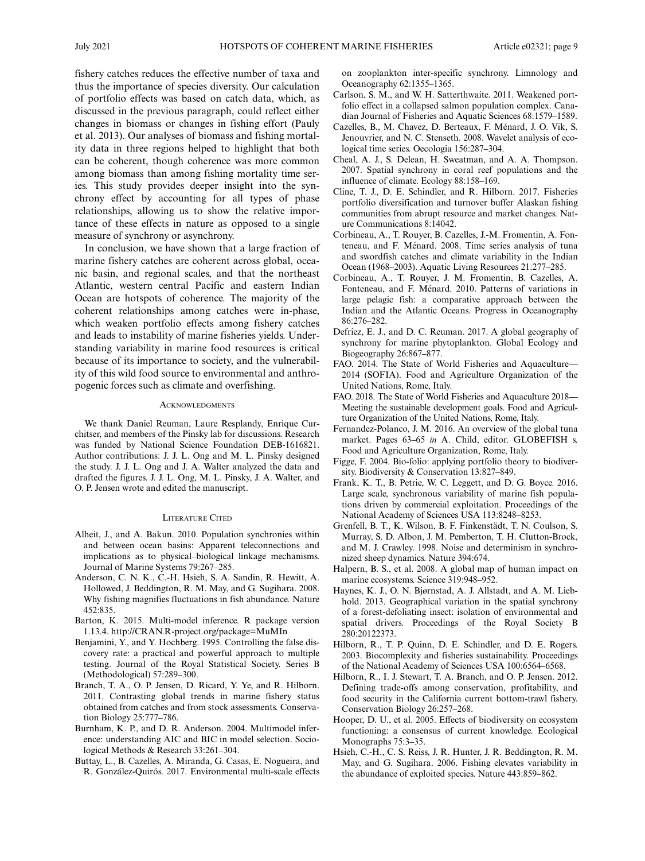fishery catches reduces the effective number of taxa and thus the importance of species diversity. Our calculation of portfolio effects was based on catch data, which, as discussed in the previous paragraph, could reflect either changes in biomass or changes in fishing effort (Pauly et al. 2013). Our analyses of biomass and fishing mortality data in three regions helped to highlight that both can be coherent, though coherence was more common among biomass than among fishing mortality time series. This study provides deeper insight into the synchrony effect by accounting for all types of phase relationships, allowing us to show the relative importance of these effects in nature as opposed to a single measure of synchrony or asynchrony.

In conclusion, we have shown that a large fraction of marine fishery catches are coherent across global, oceanic basin, and regional scales, and that the northeast Atlantic, western central Pacific and eastern Indian Ocean are hotspots of coherence. The majority of the coherent relationships among catches were in-phase, which weaken portfolio effects among fishery catches and leads to instability of marine fisheries yields. Understanding variability in marine food resources is critical because of its importance to society, and the vulnerability of this wild food source to environmental and anthropogenic forces such as climate and overfishing.

#### **ACKNOWLEDGMENTS**

We thank Daniel Reuman, Laure Resplandy, Enrique Curchitser, and members of the Pinsky lab for discussions. Research was funded by National Science Foundation DEB-1616821. Author contributions: J. J. L. Ong and M. L. Pinsky designed the study. J. J. L. Ong and J. A. Walter analyzed the data and drafted the figures. J. J. L. Ong, M. L. Pinsky, J. A. Walter, and O. P. Jensen wrote and edited the manuscript.

#### LITERATURE CITED

- Alheit, J., and A. Bakun. 2010. Population synchronies within and between ocean basins: Apparent teleconnections and implications as to physical–biological linkage mechanisms. Journal of Marine Systems 79:267–285.
- Anderson, C. N. K., C.-H. Hsieh, S. A. Sandin, R. Hewitt, A. Hollowed, J. Beddington, R. M. May, and G. Sugihara. 2008. Why fishing magnifies fluctuations in fish abundance. Nature 452:835.
- Barton, K. 2015. Multi-model inference. R package version 1.13.4.<http://CRAN.R-project.org/package=MuMIn>
- Benjamini, Y., and Y. Hochberg. 1995. Controlling the false discovery rate: a practical and powerful approach to multiple testing. Journal of the Royal Statistical Society. Series B (Methodological) 57:289–300.
- Branch, T. A., O. P. Jensen, D. Ricard, Y. Ye, and R. Hilborn. 2011. Contrasting global trends in marine fishery status obtained from catches and from stock assessments. Conservation Biology 25:777–786.
- Burnham, K. P., and D. R. Anderson. 2004. Multimodel inference: understanding AIC and BIC in model selection. Sociological Methods & Research 33:261–304.
- Buttay, L., B. Cazelles, A. Miranda, G. Casas, E. Nogueira, and R. González-Quirós. 2017. Environmental multi-scale effects

on zooplankton inter-specific synchrony. Limnology and Oceanography 62:1355–1365.

- Carlson, S. M., and W. H. Satterthwaite. 2011. Weakened portfolio effect in a collapsed salmon population complex. Canadian Journal of Fisheries and Aquatic Sciences 68:1579–1589.
- Cazelles, B., M. Chavez, D. Berteaux, F. Ménard, J. O. Vik, S. Jenouvrier, and N. C. Stenseth. 2008. Wavelet analysis of ecological time series. Oecologia 156:287–304.
- Cheal, A. J., S. Delean, H. Sweatman, and A. A. Thompson. 2007. Spatial synchrony in coral reef populations and the influence of climate. Ecology 88:158–169.
- Cline, T. J., D. E. Schindler, and R. Hilborn. 2017. Fisheries portfolio diversification and turnover buffer Alaskan fishing communities from abrupt resource and market changes. Nature Communications 8:14042.
- Corbineau, A., T. Rouyer, B. Cazelles, J.-M. Fromentin, A. Fonteneau, and F. Ménard. 2008. Time series analysis of tuna and swordfish catches and climate variability in the Indian Ocean (1968–2003). Aquatic Living Resources 21:277–285.
- Corbineau, A., T. Rouyer, J. M. Fromentin, B. Cazelles, A. Fonteneau, and F. Ménard. 2010. Patterns of variations in large pelagic fish: a comparative approach between the Indian and the Atlantic Oceans. Progress in Oceanography 86:276–282.
- Defriez, E. J., and D. C. Reuman. 2017. A global geography of synchrony for marine phytoplankton. Global Ecology and Biogeography 26:867–877.
- FAO. 2014. The State of World Fisheries and Aquaculture— 2014 (SOFIA). Food and Agriculture Organization of the United Nations, Rome, Italy.
- FAO. 2018. The State of World Fisheries and Aquaculture 2018— Meeting the sustainable development goals. Food and Agriculture Organization of the United Nations, Rome, Italy.
- Fernandez-Polanco, J. M. 2016. An overview of the global tuna market. Pages 63-65 in A. Child, editor. GLOBEFISH s. Food and Agriculture Organization, Rome, Italy.
- Figge, F. 2004. Bio-folio: applying portfolio theory to biodiversity. Biodiversity & Conservation 13:827–849.
- Frank, K. T., B. Petrie, W. C. Leggett, and D. G. Boyce. 2016. Large scale, synchronous variability of marine fish populations driven by commercial exploitation. Proceedings of the National Academy of Sciences USA 113:8248–8253.
- Grenfell, B. T., K. Wilson, B. F. Finkenstädt, T. N. Coulson, S. Murray, S. D. Albon, J. M. Pemberton, T. H. Clutton-Brock, and M. J. Crawley. 1998. Noise and determinism in synchronized sheep dynamics. Nature 394:674.
- Halpern, B. S., et al. 2008. A global map of human impact on marine ecosystems. Science 319:948–952.
- Haynes, K. J., O. N. Bjørnstad, A. J. Allstadt, and A. M. Liebhold. 2013. Geographical variation in the spatial synchrony of a forest-defoliating insect: isolation of environmental and spatial drivers. Proceedings of the Royal Society B 280:20122373.
- Hilborn, R., T. P. Quinn, D. E. Schindler, and D. E. Rogers. 2003. Biocomplexity and fisheries sustainability. Proceedings of the National Academy of Sciences USA 100:6564–6568.
- Hilborn, R., I. J. Stewart, T. A. Branch, and O. P. Jensen. 2012. Defining trade-offs among conservation, profitability, and food security in the California current bottom-trawl fishery. Conservation Biology 26:257–268.
- Hooper, D. U., et al. 2005. Effects of biodiversity on ecosystem functioning: a consensus of current knowledge. Ecological Monographs 75:3–35.
- Hsieh, C.-H., C. S. Reiss, J. R. Hunter, J. R. Beddington, R. M. May, and G. Sugihara. 2006. Fishing elevates variability in the abundance of exploited species. Nature 443:859–862.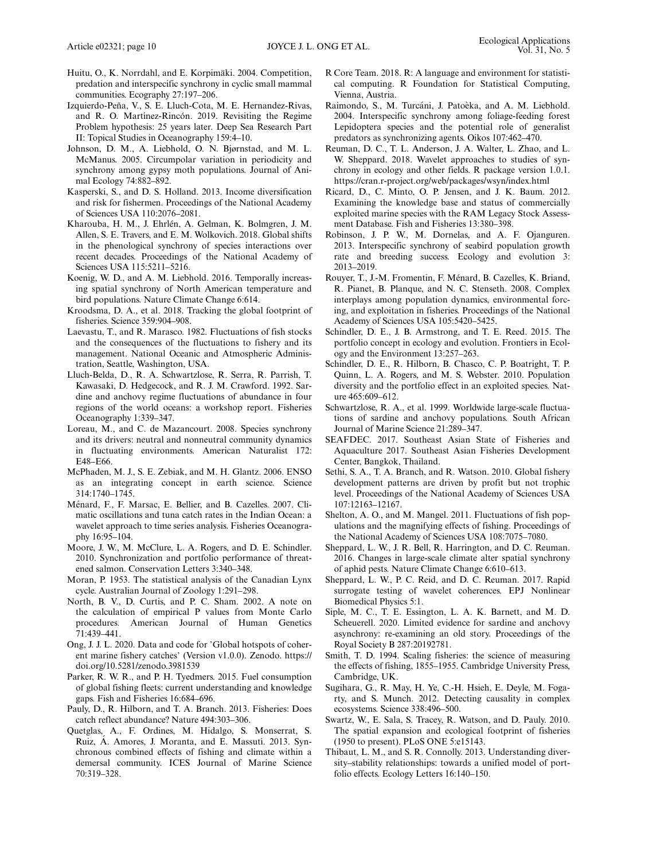- Huitu, O., K. Norrdahl, and E. Korpimäki. 2004. Competition, predation and interspecific synchrony in cyclic small mammal communities. Ecography 27:197–206.
- Izquierdo-Peña, V., S. E. Lluch-Cota, M. E. Hernandez-Rivas, and R. O. Martínez-Rincón. 2019. Revisiting the Regime Problem hypothesis: 25 years later. Deep Sea Research Part II: Topical Studies in Oceanography 159:4–10.
- Johnson, D. M., A. Liebhold, O. N. Bjørnstad, and M. L. McManus. 2005. Circumpolar variation in periodicity and synchrony among gypsy moth populations. Journal of Animal Ecology 74:882–892.
- Kasperski, S., and D. S. Holland. 2013. Income diversification and risk for fishermen. Proceedings of the National Academy of Sciences USA 110:2076–2081.
- Kharouba, H. M., J. Ehrlén, A. Gelman, K. Bolmgren, J. M. Allen, S. E. Travers, and E. M. Wolkovich. 2018. Global shifts in the phenological synchrony of species interactions over recent decades. Proceedings of the National Academy of Sciences USA 115:5211–5216.
- Koenig, W. D., and A. M. Liebhold. 2016. Temporally increasing spatial synchrony of North American temperature and bird populations. Nature Climate Change 6:614.
- Kroodsma, D. A., et al. 2018. Tracking the global footprint of fisheries. Science 359:904–908.
- Laevastu, T., and R. Marasco. 1982. Fluctuations of fish stocks and the consequences of the fluctuations to fishery and its management. National Oceanic and Atmospheric Administration, Seattle, Washington, USA.
- Lluch-Belda, D., R. A. Schwartzlose, R. Serra, R. Parrish, T. Kawasaki, D. Hedgecock, and R. J. M. Crawford. 1992. Sardine and anchovy regime fluctuations of abundance in four regions of the world oceans: a workshop report. Fisheries Oceanography 1:339–347.
- Loreau, M., and C. de Mazancourt. 2008. Species synchrony and its drivers: neutral and nonneutral community dynamics in fluctuating environments. American Naturalist 172: E48–E66.
- McPhaden, M. J., S. E. Zebiak, and M. H. Glantz. 2006. ENSO as an integrating concept in earth science. Science 314:1740–1745.
- Menard, F., F. Marsac, E. Bellier, and B. Cazelles. 2007. Cli- ´ matic oscillations and tuna catch rates in the Indian Ocean: a wavelet approach to time series analysis. Fisheries Oceanography 16:95–104.
- Moore, J. W., M. McClure, L. A. Rogers, and D. E. Schindler. 2010. Synchronization and portfolio performance of threatened salmon. Conservation Letters 3:340–348.
- Moran, P. 1953. The statistical analysis of the Canadian Lynx cycle. Australian Journal of Zoology 1:291–298.
- North, B. V., D. Curtis, and P. C. Sham. 2002. A note on the calculation of empirical P values from Monte Carlo procedures. American Journal of Human Genetics 71:439–441.
- Ong, J. J. L. 2020. Data and code for 'Global hotspots of coherent marine fishery catches' (Version v1.0.0). Zenodo. [https://](https://doi.org/10.5281/zenodo.3981539) [doi.org/10.5281/zenodo.3981539](https://doi.org/10.5281/zenodo.3981539)
- Parker, R. W. R., and P. H. Tyedmers. 2015. Fuel consumption of global fishing fleets: current understanding and knowledge gaps. Fish and Fisheries 16:684–696.
- Pauly, D., R. Hilborn, and T. A. Branch. 2013. Fisheries: Does catch reflect abundance? Nature 494:303–306.
- Quetglas, A., F. Ordines, M. Hidalgo, S. Monserrat, S. Ruiz, Á. Amores, J. Moranta, and E. Massutí. 2013. Synchronous combined effects of fishing and climate within a demersal community. ICES Journal of Marine Science 70:319–328.
- R Core Team. 2018. R: A language and environment for statistical computing. R Foundation for Statistical Computing, Vienna, Austria.
- Raimondo, S., M. Turcáni, J. Patoèka, and A. M. Liebhold. 2004. Interspecific synchrony among foliage-feeding forest Lepidoptera species and the potential role of generalist predators as synchronizing agents. Oikos 107:462–470.
- Reuman, D. C., T. L. Anderson, J. A. Walter, L. Zhao, and L. W. Sheppard. 2018. Wavelet approaches to studies of synchrony in ecology and other fields. R package version 1.0.1. <https://cran.r-project.org/web/packages/wsyn/index.html>
- Ricard, D., C. Minto, O. P. Jensen, and J. K. Baum. 2012. Examining the knowledge base and status of commercially exploited marine species with the RAM Legacy Stock Assessment Database. Fish and Fisheries 13:380–398.
- Robinson, J. P. W., M. Dornelas, and A. F. Ojanguren. 2013. Interspecific synchrony of seabird population growth rate and breeding success. Ecology and evolution 3: 2013–2019.
- Rouyer, T., J.-M. Fromentin, F. Menard, B. Cazelles, K. Briand, ´ R. Pianet, B. Planque, and N. C. Stenseth. 2008. Complex interplays among population dynamics, environmental forcing, and exploitation in fisheries. Proceedings of the National Academy of Sciences USA 105:5420–5425.
- Schindler, D. E., J. B. Armstrong, and T. E. Reed. 2015. The portfolio concept in ecology and evolution. Frontiers in Ecology and the Environment 13:257–263.
- Schindler, D. E., R. Hilborn, B. Chasco, C. P. Boatright, T. P. Quinn, L. A. Rogers, and M. S. Webster. 2010. Population diversity and the portfolio effect in an exploited species. Nature 465:609–612.
- Schwartzlose, R. A., et al. 1999. Worldwide large-scale fluctuations of sardine and anchovy populations. South African Journal of Marine Science 21:289–347.
- SEAFDEC. 2017. Southeast Asian State of Fisheries and Aquaculture 2017. Southeast Asian Fisheries Development Center, Bangkok, Thailand.
- Sethi, S. A., T. A. Branch, and R. Watson. 2010. Global fishery development patterns are driven by profit but not trophic level. Proceedings of the National Academy of Sciences USA 107:12163–12167.
- Shelton, A. O., and M. Mangel. 2011. Fluctuations of fish populations and the magnifying effects of fishing. Proceedings of the National Academy of Sciences USA 108:7075–7080.
- Sheppard, L. W., J. R. Bell, R. Harrington, and D. C. Reuman. 2016. Changes in large-scale climate alter spatial synchrony of aphid pests. Nature Climate Change 6:610–613.
- Sheppard, L. W., P. C. Reid, and D. C. Reuman. 2017. Rapid surrogate testing of wavelet coherences. EPJ Nonlinear Biomedical Physics 5:1.
- Siple, M. C., T. E. Essington, L. A. K. Barnett, and M. D. Scheuerell. 2020. Limited evidence for sardine and anchovy asynchrony: re-examining an old story. Proceedings of the Royal Society B 287:20192781.
- Smith, T. D. 1994. Scaling fisheries: the science of measuring the effects of fishing, 1855–1955. Cambridge University Press, Cambridge, UK.
- Sugihara, G., R. May, H. Ye, C.-H. Hsieh, E. Deyle, M. Fogarty, and S. Munch. 2012. Detecting causality in complex ecosystems. Science 338:496–500.
- Swartz, W., E. Sala, S. Tracey, R. Watson, and D. Pauly. 2010. The spatial expansion and ecological footprint of fisheries (1950 to present). PLoS ONE 5:e15143.
- Thibaut, L. M., and S. R. Connolly. 2013. Understanding diversity–stability relationships: towards a unified model of portfolio effects. Ecology Letters 16:140–150.